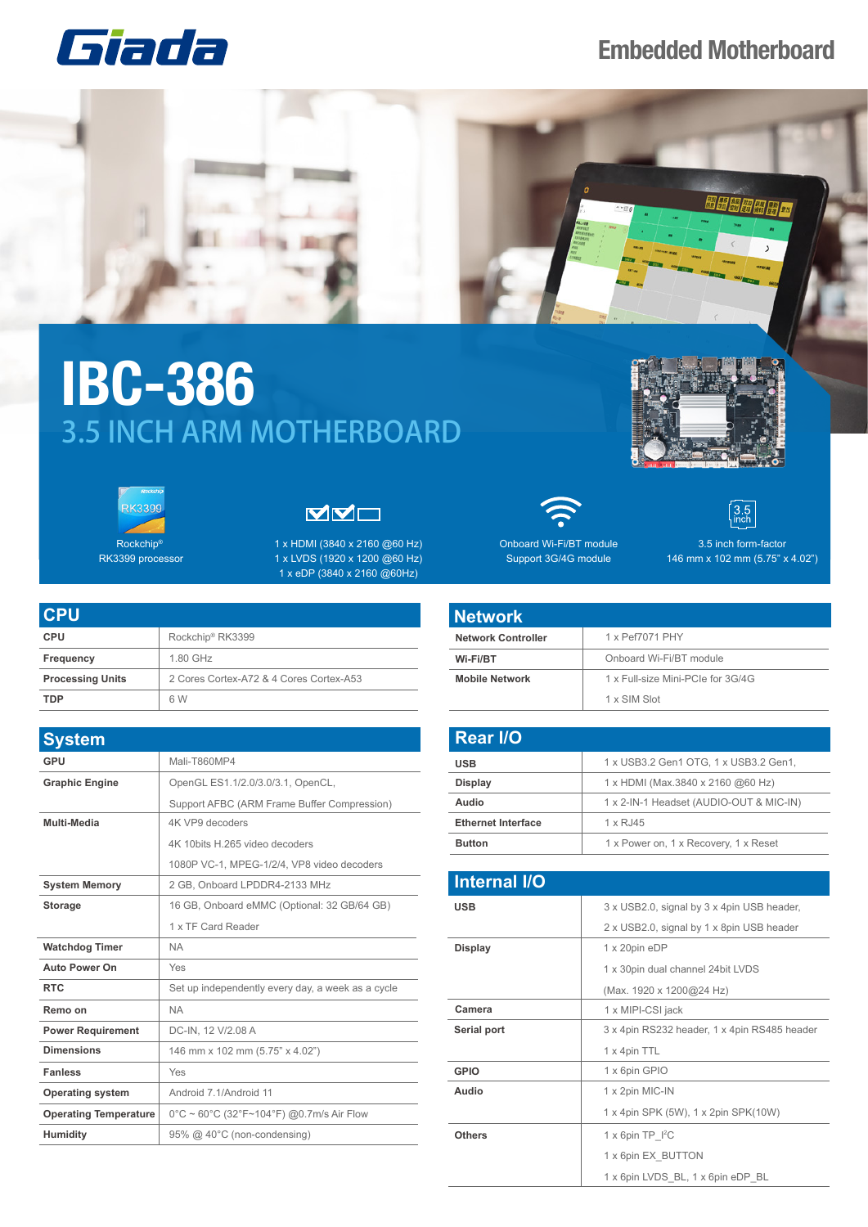## **Embedded Motherboard**





## **IBC-386** 3.5 INCH ARM MOTHERBOARD





Rockchip® RK3399 processor



1 x HDMI (3840 x 2160 @60 Hz) 1 x LVDS (1920 x 1200 @60 Hz) 1 x eDP (3840 x 2160 @60Hz)

| I CPU                   |                                         |
|-------------------------|-----------------------------------------|
| <b>CPU</b>              | Rockchip <sup>®</sup> RK3399            |
| Frequency               | 1.80 GHz                                |
| <b>Processing Units</b> | 2 Cores Cortex-A72 & 4 Cores Cortex-A53 |
| TDP                     | 6 W                                     |

| <b>System</b>                |                                                                                     |
|------------------------------|-------------------------------------------------------------------------------------|
| <b>GPU</b>                   | Mali-T860MP4                                                                        |
| <b>Graphic Engine</b>        | OpenGL ES1.1/2.0/3.0/3.1, OpenCL,                                                   |
|                              | Support AFBC (ARM Frame Buffer Compression)                                         |
| Multi-Media                  | 4K VP9 decoders                                                                     |
|                              | 4K 10bits H.265 video decoders                                                      |
|                              | 1080P VC-1, MPEG-1/2/4, VP8 video decoders                                          |
| <b>System Memory</b>         | 2 GB. Onboard LPDDR4-2133 MHz                                                       |
| <b>Storage</b>               | 16 GB, Onboard eMMC (Optional: 32 GB/64 GB)                                         |
|                              | 1 x TF Card Reader                                                                  |
| <b>Watchdog Timer</b>        | <b>NA</b>                                                                           |
| <b>Auto Power On</b>         | Yes                                                                                 |
| <b>RTC</b>                   | Set up independently every day, a week as a cycle                                   |
| Remo on                      | <b>NA</b>                                                                           |
| <b>Power Requirement</b>     | DC-IN, 12 V/2.08 A                                                                  |
| <b>Dimensions</b>            | 146 mm x 102 mm (5.75" x 4.02")                                                     |
| <b>Fanless</b>               | Yes                                                                                 |
| <b>Operating system</b>      | Android 7.1/Android 11                                                              |
| <b>Operating Temperature</b> | $0^{\circ}$ C ~ 60 $^{\circ}$ C (32 $^{\circ}$ F~104 $^{\circ}$ F) @0.7m/s Air Flow |
| Humidity                     | 95% @ 40°C (non-condensing)                                                         |



Support 3G/4G module



146 mm x 102 mm (5.75" x 4.02")

## **Network**

| <b>Network Controller</b> | 1 x Pef7071 PHY                   |  |
|---------------------------|-----------------------------------|--|
| Wi-Fi/BT                  | Onboard Wi-Fi/BT module           |  |
| <b>Mobile Network</b>     | 1 x Full-size Mini-PCIe for 3G/4G |  |
|                           | 1 x SIM Slot                      |  |

| <b>Rear I/O</b>           |                                         |
|---------------------------|-----------------------------------------|
| <b>USB</b>                | 1 x USB3.2 Gen1 OTG, 1 x USB3.2 Gen1,   |
| <b>Display</b>            | 1 x HDMI (Max.3840 x 2160 @60 Hz)       |
| Audio                     | 1 x 2-IN-1 Headset (AUDIO-OUT & MIC-IN) |
| <b>Ethernet Interface</b> | 1 x RJ45                                |
| <b>Button</b>             | 1 x Power on, 1 x Recovery, 1 x Reset   |

| <b>Internal I/O</b> |                                              |
|---------------------|----------------------------------------------|
| <b>USB</b>          | 3 x USB2.0, signal by 3 x 4pin USB header,   |
|                     | 2 x USB2.0, signal by 1 x 8pin USB header    |
| <b>Display</b>      | 1 x 20pin eDP                                |
|                     | 1 x 30pin dual channel 24bit LVDS            |
|                     | (Max. 1920 x 1200@24 Hz)                     |
| Camera              | 1 x MIPI-CSI jack                            |
| Serial port         | 3 x 4pin RS232 header, 1 x 4pin RS485 header |
|                     | 1 x 4pin TTL                                 |
| <b>GPIO</b>         | 1 x 6pin GPIO                                |
| Audio               | 1 x 2pin MIC-IN                              |
|                     | 1 x 4pin SPK (5W), 1 x 2pin SPK(10W)         |
| <b>Others</b>       | $1 \times 6$ pin TP $12C$                    |
|                     | 1 x 6pin EX BUTTON                           |
|                     | 1 x 6pin LVDS BL, 1 x 6pin eDP BL            |